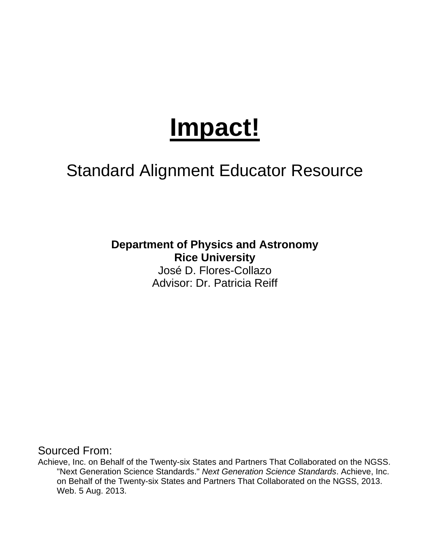# **Impact!**

## Standard Alignment Educator Resource

**Department of Physics and Astronomy Rice University** 

> José D. Flores-Collazo Advisor: Dr. Patricia Reiff

Sourced From:

Achieve, Inc. on Behalf of the Twenty-six States and Partners That Collaborated on the NGSS. "Next Generation Science Standards." *Next Generation Science Standards*. Achieve, Inc. on Behalf of the Twenty-six States and Partners That Collaborated on the NGSS, 2013. Web. 5 Aug. 2013.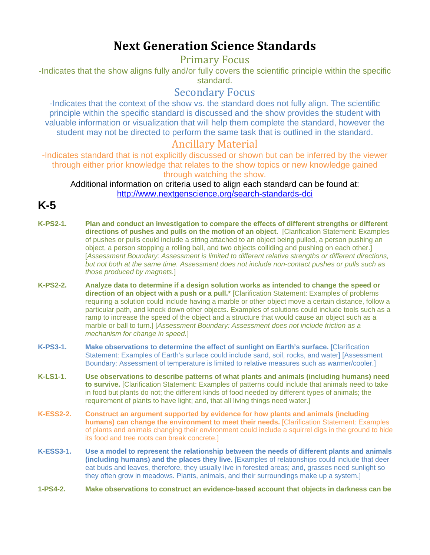### **Next Generation Science Standards**

Primary Focus 

-Indicates that the show aligns fully and/or fully covers the scientific principle within the specific standard.

#### Secondary Focus

-Indicates that the context of the show vs. the standard does not fully align. The scientific principle within the specific standard is discussed and the show provides the student with valuable information or visualization that will help them complete the standard, however the student may not be directed to perform the same task that is outlined in the standard.

#### Ancillary Material

-Indicates standard that is not explicitly discussed or shown but can be inferred by the viewer through either prior knowledge that relates to the show topics or new knowledge gained through watching the show.

Additional information on criteria used to align each standard can be found at: http://www.nextgenscience.org/search-standards-dci

#### **K-5**

- **K-PS2-1. Plan and conduct an investigation to compare the effects of different strengths or different directions of pushes and pulls on the motion of an object.** [Clarification Statement: Examples of pushes or pulls could include a string attached to an object being pulled, a person pushing an object, a person stopping a rolling ball, and two objects colliding and pushing on each other.] [*Assessment Boundary: Assessment is limited to different relative strengths or different directions, but not both at the same time. Assessment does not include non-contact pushes or pulls such as those produced by magnets.*]
- **K-PS2-2. Analyze data to determine if a design solution works as intended to change the speed or direction of an object with a push or a pull.\*** [Clarification Statement: Examples of problems requiring a solution could include having a marble or other object move a certain distance, follow a particular path, and knock down other objects. Examples of solutions could include tools such as a ramp to increase the speed of the object and a structure that would cause an object such as a marble or ball to turn.] [*Assessment Boundary: Assessment does not include friction as a mechanism for change in speed.*]
- **K-PS3-1. Make observations to determine the effect of sunlight on Earth's surface.** [Clarification Statement: Examples of Earth's surface could include sand, soil, rocks, and water] [Assessment Boundary: Assessment of temperature is limited to relative measures such as warmer/cooler.]
- **K-LS1-1. Use observations to describe patterns of what plants and animals (including humans) need to survive.** [Clarification Statement: Examples of patterns could include that animals need to take in food but plants do not; the different kinds of food needed by different types of animals; the requirement of plants to have light; and, that all living things need water.]
- **K-ESS2-2. Construct an argument supported by evidence for how plants and animals (including humans) can change the environment to meet their needs.** [Clarification Statement: Examples of plants and animals changing their environment could include a squirrel digs in the ground to hide its food and tree roots can break concrete.]
- **K-ESS3-1. Use a model to represent the relationship between the needs of different plants and animals (including humans) and the places they live.** [Examples of relationships could include that deer eat buds and leaves, therefore, they usually live in forested areas; and, grasses need sunlight so they often grow in meadows. Plants, animals, and their surroundings make up a system.]
- **1-PS4-2. Make observations to construct an evidence-based account that objects in darkness can be**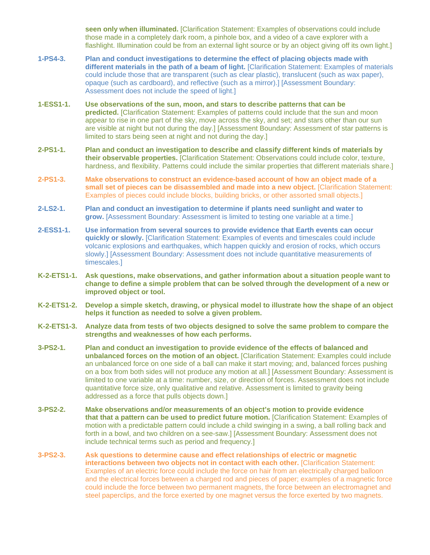**seen only when illuminated.** [Clarification Statement: Examples of observations could include those made in a completely dark room, a pinhole box, and a video of a cave explorer with a flashlight. Illumination could be from an external light source or by an object giving off its own light.]

- **1-PS4-3. Plan and conduct investigations to determine the effect of placing objects made with different materials in the path of a beam of light.** [Clarification Statement: Examples of materials could include those that are transparent (such as clear plastic), translucent (such as wax paper), opaque (such as cardboard), and reflective (such as a mirror).] [Assessment Boundary: Assessment does not include the speed of light.]
- **1-ESS1-1. Use observations of the sun, moon, and stars to describe patterns that can be predicted.** [Clarification Statement: Examples of patterns could include that the sun and moon appear to rise in one part of the sky, move across the sky, and set; and stars other than our sun are visible at night but not during the day.] [Assessment Boundary: Assessment of star patterns is limited to stars being seen at night and not during the day.]
- **2-PS1-1. Plan and conduct an investigation to describe and classify different kinds of materials by their observable properties.** [Clarification Statement: Observations could include color, texture, hardness, and flexibility. Patterns could include the similar properties that different materials share.]
- **2-PS1-3. Make observations to construct an evidence-based account of how an object made of a small set of pieces can be disassembled and made into a new object.** [Clarification Statement: Examples of pieces could include blocks, building bricks, or other assorted small objects.]
- **2-LS2-1. Plan and conduct an investigation to determine if plants need sunlight and water to grow.** [Assessment Boundary: Assessment is limited to testing one variable at a time.]
- **2-ESS1-1. Use information from several sources to provide evidence that Earth events can occur quickly or slowly.** [Clarification Statement: Examples of events and timescales could include volcanic explosions and earthquakes, which happen quickly and erosion of rocks, which occurs slowly.] [Assessment Boundary: Assessment does not include quantitative measurements of timescales.]
- **K-2-ETS1-1. Ask questions, make observations, and gather information about a situation people want to change to define a simple problem that can be solved through the development of a new or improved object or tool.**
- **K-2-ETS1-2. Develop a simple sketch, drawing, or physical model to illustrate how the shape of an object helps it function as needed to solve a given problem.**
- **K-2-ETS1-3. Analyze data from tests of two objects designed to solve the same problem to compare the strengths and weaknesses of how each performs.**
- **3-PS2-1. Plan and conduct an investigation to provide evidence of the effects of balanced and unbalanced forces on the motion of an object.** [Clarification Statement: Examples could include an unbalanced force on one side of a ball can make it start moving; and, balanced forces pushing on a box from both sides will not produce any motion at all.] [Assessment Boundary: Assessment is limited to one variable at a time: number, size, or direction of forces. Assessment does not include quantitative force size, only qualitative and relative. Assessment is limited to gravity being addressed as a force that pulls objects down.]
- **3-PS2-2. Make observations and/or measurements of an object's motion to provide evidence that that a pattern can be used to predict future motion.** [Clarification Statement: Examples of motion with a predictable pattern could include a child swinging in a swing, a ball rolling back and forth in a bowl, and two children on a see-saw.] [Assessment Boundary: Assessment does not include technical terms such as period and frequency.]
- **3-PS2-3. Ask questions to determine cause and effect relationships of electric or magnetic interactions between two objects not in contact with each other.** [Clarification Statement: Examples of an electric force could include the force on hair from an electrically charged balloon and the electrical forces between a charged rod and pieces of paper; examples of a magnetic force could include the force between two permanent magnets, the force between an electromagnet and steel paperclips, and the force exerted by one magnet versus the force exerted by two magnets.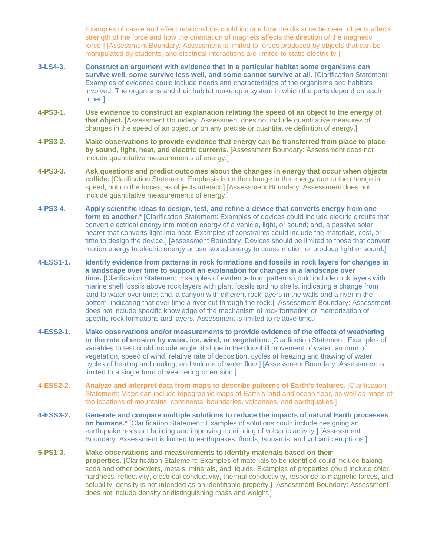Examples of cause and effect relationships could include how the distance between objects affects strength of the force and how the orientation of magnets affects the direction of the magnetic force.] [Assessment Boundary: Assessment is limited to forces produced by objects that can be manipulated by students, and electrical interactions are limited to static electricity.]

- **3-LS4-3. Construct an argument with evidence that in a particular habitat some organisms can survive well, some survive less well, and some cannot survive at all.** [Clarification Statement: Examples of evidence could include needs and characteristics of the organisms and habitats involved. The organisms and their habitat make up a system in which the parts depend on each other.]
- **4-PS3-1. Use evidence to construct an explanation relating the speed of an object to the energy of that object.** [Assessment Boundary: Assessment does not include quantitative measures of changes in the speed of an object or on any precise or quantitative definition of energy.]
- **4-PS3-2. Make observations to provide evidence that energy can be transferred from place to place by sound, light, heat, and electric currents.** [Assessment Boundary: Assessment does not include quantitative measurements of energy.]
- **4-PS3-3. Ask questions and predict outcomes about the changes in energy that occur when objects collide.** [Clarification Statement: Emphasis is on the change in the energy due to the change in speed, not on the forces, as objects interact.] [Assessment Boundary: Assessment does not include quantitative measurements of energy.]
- **4-PS3-4. Apply scientific ideas to design, test, and refine a device that converts energy from one form to another.\*** [Clarification Statement: Examples of devices could include electric circuits that convert electrical energy into motion energy of a vehicle, light, or sound; and, a passive solar heater that converts light into heat. Examples of constraints could include the materials, cost, or time to design the device.] [Assessment Boundary: Devices should be limited to those that convert motion energy to electric energy or use stored energy to cause motion or produce light or sound.]
- **4-ESS1-1. Identify evidence from patterns in rock formations and fossils in rock layers for changes in a landscape over time to support an explanation for changes in a landscape over time.** [Clarification Statement: Examples of evidence from patterns could include rock layers with marine shell fossils above rock layers with plant fossils and no shells, indicating a change from land to water over time; and, a canyon with different rock layers in the walls and a river in the bottom, indicating that over time a river cut through the rock.] [Assessment Boundary: Assessment does not include specific knowledge of the mechanism of rock formation or memorization of specific rock formations and layers. Assessment is limited to relative time.]
- **4-ESS2-1. Make observations and/or measurements to provide evidence of the effects of weathering or the rate of erosion by water, ice, wind, or vegetation.** [Clarification Statement: Examples of variables to test could include angle of slope in the downhill movement of water, amount of vegetation, speed of wind, relative rate of deposition, cycles of freezing and thawing of water, cycles of heating and cooling, and volume of water flow.] [Assessment Boundary: Assessment is limited to a single form of weathering or erosion.]
- **4-ESS2-2. Analyze and interpret data from maps to describe patterns of Earth's features.** [Clarification Statement: Maps can include topographic maps of Earth's land and ocean floor, as well as maps of the locations of mountains, continental boundaries, volcanoes, and earthquakes.]
- **4-ESS3-2. Generate and compare multiple solutions to reduce the impacts of natural Earth processes on humans.\*** [Clarification Statement: Examples of solutions could include designing an earthquake resistant building and improving monitoring of volcanic activity.] [Assessment Boundary: Assessment is limited to earthquakes, floods, tsunamis, and volcanic eruptions.]
- **5-PS1-3. Make observations and measurements to identify materials based on their properties.** [Clarification Statement: Examples of materials to be identified could include baking soda and other powders, metals, minerals, and liquids. Examples of properties could include color, hardness, reflectivity, electrical conductivity, thermal conductivity, response to magnetic forces, and solubility; density is not intended as an identifiable property.] [Assessment Boundary: Assessment does not include density or distinguishing mass and weight.]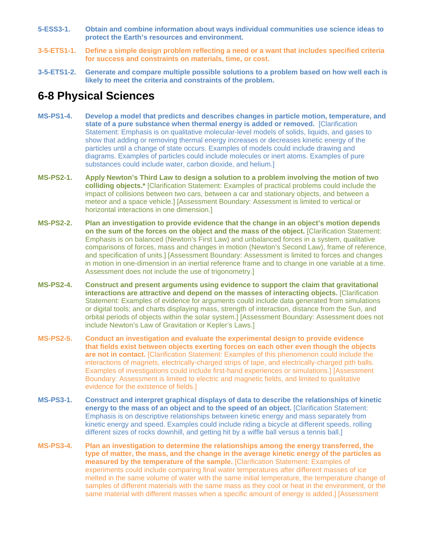- **5-ESS3-1. Obtain and combine information about ways individual communities use science ideas to protect the Earth's resources and environment.**
- **3-5-ETS1-1. Define a simple design problem reflecting a need or a want that includes specified criteria for success and constraints on materials, time, or cost.**
- **3-5-ETS1-2. Generate and compare multiple possible solutions to a problem based on how well each is likely to meet the criteria and constraints of the problem.**

#### **6-8 Physical Sciences**

- **MS-PS1-4. Develop a model that predicts and describes changes in particle motion, temperature, and state of a pure substance when thermal energy is added or removed.** [Clarification Statement: Emphasis is on qualitative molecular-level models of solids, liquids, and gases to show that adding or removing thermal energy increases or decreases kinetic energy of the particles until a change of state occurs. Examples of models could include drawing and diagrams. Examples of particles could include molecules or inert atoms. Examples of pure substances could include water, carbon dioxide, and helium.]
- **MS-PS2-1. Apply Newton's Third Law to design a solution to a problem involving the motion of two colliding objects.\*** [Clarification Statement: Examples of practical problems could include the impact of collisions between two cars, between a car and stationary objects, and between a meteor and a space vehicle.] [Assessment Boundary: Assessment is limited to vertical or horizontal interactions in one dimension.]
- **MS-PS2-2. Plan an investigation to provide evidence that the change in an object's motion depends on the sum of the forces on the object and the mass of the object.** [Clarification Statement: Emphasis is on balanced (Newton's First Law) and unbalanced forces in a system, qualitative comparisons of forces, mass and changes in motion (Newton's Second Law), frame of reference, and specification of units.] [Assessment Boundary: Assessment is limited to forces and changes in motion in one-dimension in an inertial reference frame and to change in one variable at a time. Assessment does not include the use of trigonometry.]
- **MS-PS2-4. Construct and present arguments using evidence to support the claim that gravitational interactions are attractive and depend on the masses of interacting objects.** [Clarification Statement: Examples of evidence for arguments could include data generated from simulations or digital tools; and charts displaying mass, strength of interaction, distance from the Sun, and orbital periods of objects within the solar system.] [Assessment Boundary: Assessment does not include Newton's Law of Gravitation or Kepler's Laws.]
- **MS-PS2-5. Conduct an investigation and evaluate the experimental design to provide evidence that fields exist between objects exerting forces on each other even though the objects are not in contact.** [Clarification Statement: Examples of this phenomenon could include the interactions of magnets, electrically-charged strips of tape, and electrically-charged pith balls. Examples of investigations could include first-hand experiences or simulations.] [Assessment Boundary: Assessment is limited to electric and magnetic fields, and limited to qualitative evidence for the existence of fields.]
- **MS-PS3-1. Construct and interpret graphical displays of data to describe the relationships of kinetic energy to the mass of an object and to the speed of an object.** [Clarification Statement: Emphasis is on descriptive relationships between kinetic energy and mass separately from kinetic energy and speed. Examples could include riding a bicycle at different speeds, rolling different sizes of rocks downhill, and getting hit by a wiffle ball versus a tennis ball.]
- **MS-PS3-4. Plan an investigation to determine the relationships among the energy transferred, the type of matter, the mass, and the change in the average kinetic energy of the particles as measured by the temperature of the sample.** [Clarification Statement: Examples of experiments could include comparing final water temperatures after different masses of ice melted in the same volume of water with the same initial temperature, the temperature change of samples of different materials with the same mass as they cool or heat in the environment, or the same material with different masses when a specific amount of energy is added.] [Assessment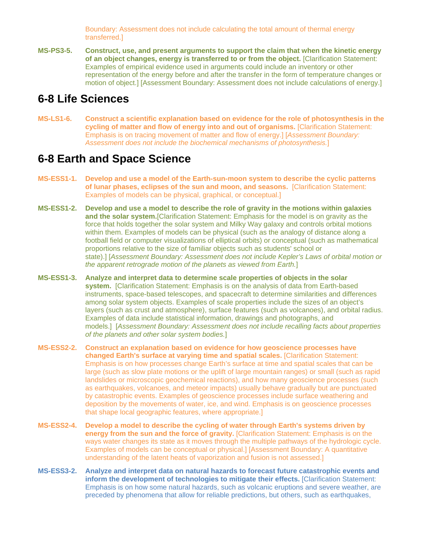Boundary: Assessment does not include calculating the total amount of thermal energy transferred.]

**MS-PS3-5. Construct, use, and present arguments to support the claim that when the kinetic energy of an object changes, energy is transferred to or from the object.** [Clarification Statement: Examples of empirical evidence used in arguments could include an inventory or other representation of the energy before and after the transfer in the form of temperature changes or motion of object.] [Assessment Boundary: Assessment does not include calculations of energy.]

#### **6-8 Life Sciences**

**MS-LS1-6. Construct a scientific explanation based on evidence for the role of photosynthesis in the cycling of matter and flow of energy into and out of organisms.** [Clarification Statement: Emphasis is on tracing movement of matter and flow of energy.] [*Assessment Boundary: Assessment does not include the biochemical mechanisms of photosynthesis.*]

#### **6-8 Earth and Space Science**

- **MS-ESS1-1. Develop and use a model of the Earth-sun-moon system to describe the cyclic patterns of lunar phases, eclipses of the sun and moon, and seasons.** [Clarification Statement: Examples of models can be physical, graphical, or conceptual.]
- **MS-ESS1-2. Develop and use a model to describe the role of gravity in the motions within galaxies and the solar system.**[Clarification Statement: Emphasis for the model is on gravity as the force that holds together the solar system and Milky Way galaxy and controls orbital motions within them. Examples of models can be physical (such as the analogy of distance along a football field or computer visualizations of elliptical orbits) or conceptual (such as mathematical proportions relative to the size of familiar objects such as students' school or state).] [*Assessment Boundary: Assessment does not include Kepler's Laws of orbital motion or the apparent retrograde motion of the planets as viewed from Earth.*]
- **MS-ESS1-3. Analyze and interpret data to determine scale properties of objects in the solar system.** [Clarification Statement: Emphasis is on the analysis of data from Earth-based instruments, space-based telescopes, and spacecraft to determine similarities and differences among solar system objects. Examples of scale properties include the sizes of an object's layers (such as crust and atmosphere), surface features (such as volcanoes), and orbital radius. Examples of data include statistical information, drawings and photographs, and models.] [*Assessment Boundary: Assessment does not include recalling facts about properties of the planets and other solar system bodies.*]
- **MS-ESS2-2. Construct an explanation based on evidence for how geoscience processes have changed Earth's surface at varying time and spatial scales.** [Clarification Statement: Emphasis is on how processes change Earth's surface at time and spatial scales that can be large (such as slow plate motions or the uplift of large mountain ranges) or small (such as rapid landslides or microscopic geochemical reactions), and how many geoscience processes (such as earthquakes, volcanoes, and meteor impacts) usually behave gradually but are punctuated by catastrophic events. Examples of geoscience processes include surface weathering and deposition by the movements of water, ice, and wind. Emphasis is on geoscience processes that shape local geographic features, where appropriate.]
- **MS-ESS2-4. Develop a model to describe the cycling of water through Earth's systems driven by energy from the sun and the force of gravity.** [Clarification Statement: Emphasis is on the ways water changes its state as it moves through the multiple pathways of the hydrologic cycle. Examples of models can be conceptual or physical.] [Assessment Boundary: A quantitative understanding of the latent heats of vaporization and fusion is not assessed.]
- **MS-ESS3-2. Analyze and interpret data on natural hazards to forecast future catastrophic events and inform the development of technologies to mitigate their effects.** [Clarification Statement: Emphasis is on how some natural hazards, such as volcanic eruptions and severe weather, are preceded by phenomena that allow for reliable predictions, but others, such as earthquakes,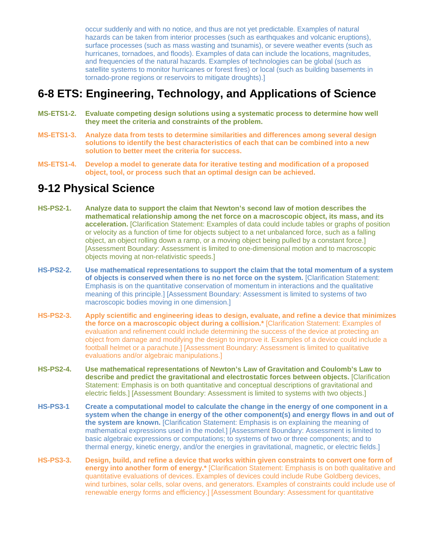occur suddenly and with no notice, and thus are not yet predictable. Examples of natural hazards can be taken from interior processes (such as earthquakes and volcanic eruptions), surface processes (such as mass wasting and tsunamis), or severe weather events (such as hurricanes, tornadoes, and floods). Examples of data can include the locations, magnitudes, and frequencies of the natural hazards. Examples of technologies can be global (such as satellite systems to monitor hurricanes or forest fires) or local (such as building basements in tornado-prone regions or reservoirs to mitigate droughts).]

#### **6-8 ETS: Engineering, Technology, and Applications of Science**

- **MS-ETS1-2. Evaluate competing design solutions using a systematic process to determine how well they meet the criteria and constraints of the problem.**
- **MS-ETS1-3. Analyze data from tests to determine similarities and differences among several design solutions to identify the best characteristics of each that can be combined into a new solution to better meet the criteria for success.**
- **MS-ETS1-4. Develop a model to generate data for iterative testing and modification of a proposed object, tool, or process such that an optimal design can be achieved.**

#### **9-12 Physical Science**

- **HS-PS2-1. Analyze data to support the claim that Newton's second law of motion describes the mathematical relationship among the net force on a macroscopic object, its mass, and its acceleration.** [Clarification Statement: Examples of data could include tables or graphs of position or velocity as a function of time for objects subject to a net unbalanced force, such as a falling object, an object rolling down a ramp, or a moving object being pulled by a constant force.] [Assessment Boundary: Assessment is limited to one-dimensional motion and to macroscopic objects moving at non-relativistic speeds.]
- **HS-PS2-2. Use mathematical representations to support the claim that the total momentum of a system of objects is conserved when there is no net force on the system.** [Clarification Statement: Emphasis is on the quantitative conservation of momentum in interactions and the qualitative meaning of this principle.] [Assessment Boundary: Assessment is limited to systems of two macroscopic bodies moving in one dimension.]
- **HS-PS2-3. Apply scientific and engineering ideas to design, evaluate, and refine a device that minimizes the force on a macroscopic object during a collision.\*** [Clarification Statement: Examples of evaluation and refinement could include determining the success of the device at protecting an object from damage and modifying the design to improve it. Examples of a device could include a football helmet or a parachute.] [Assessment Boundary: Assessment is limited to qualitative evaluations and/or algebraic manipulations.]
- **HS-PS2-4. Use mathematical representations of Newton's Law of Gravitation and Coulomb's Law to describe and predict the gravitational and electrostatic forces between objects.** [Clarification Statement: Emphasis is on both quantitative and conceptual descriptions of gravitational and electric fields.] [Assessment Boundary: Assessment is limited to systems with two objects.]
- **HS-PS3-1 Create a computational model to calculate the change in the energy of one component in a system when the change in energy of the other component(s) and energy flows in and out of the system are known.** [Clarification Statement: Emphasis is on explaining the meaning of mathematical expressions used in the model.] [Assessment Boundary: Assessment is limited to basic algebraic expressions or computations; to systems of two or three components; and to thermal energy, kinetic energy, and/or the energies in gravitational, magnetic, or electric fields.]
- **HS-PS3-3. Design, build, and refine a device that works within given constraints to convert one form of energy into another form of energy.\*** [Clarification Statement: Emphasis is on both qualitative and quantitative evaluations of devices. Examples of devices could include Rube Goldberg devices, wind turbines, solar cells, solar ovens, and generators. Examples of constraints could include use of renewable energy forms and efficiency.] [Assessment Boundary: Assessment for quantitative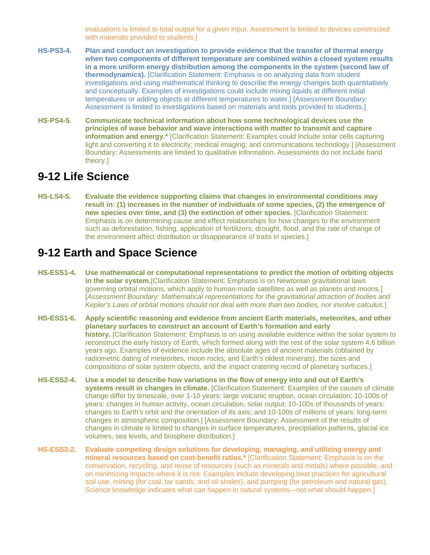evaluations is limited to total output for a given input. Assessment is limited to devices constructed with materials provided to students.]

- **HS-PS3-4. Plan and conduct an investigation to provide evidence that the transfer of thermal energy when two components of different temperature are combined within a closed system results in a more uniform energy distribution among the components in the system (second law of thermodynamics).** [Clarification Statement: Emphasis is on analyzing data from student investigations and using mathematical thinking to describe the energy changes both quantitatively and conceptually. Examples of investigations could include mixing liquids at different initial temperatures or adding objects at different temperatures to water.] [Assessment Boundary: Assessment is limited to investigations based on materials and tools provided to students.]
- **HS-PS4-5. Communicate technical information about how some technological devices use the principles of wave behavior and wave interactions with matter to transmit and capture information and energy.\*** [Clarification Statement: Examples could include solar cells capturing light and converting it to electricity; medical imaging; and communications technology.] [Assessment Boundary: Assessments are limited to qualitative information. Assessments do not include band theory.]

#### **9-12 Life Science**

**HS-LS4-5. Evaluate the evidence supporting claims that changes in environmental conditions may result in: (1) increases in the number of individuals of some species, (2) the emergence of new species over time, and (3) the extinction of other species.** [Clarification Statement: Emphasis is on determining cause and effect relationships for how changes to the environment such as deforestation, fishing, application of fertilizers, drought, flood, and the rate of change of the environment affect distribution or disappearance of traits in species.]

#### **9-12 Earth and Space Science**

- **HS-ESS1-4. Use mathematical or computational representations to predict the motion of orbiting objects in the solar system.**[Clarification Statement: Emphasis is on Newtonian gravitational laws governing orbital motions, which apply to human-made satellites as well as planets and moons.] [*Assessment Boundary: Mathematical representations for the gravitational attraction of bodies and Kepler's Laws of orbital motions should not deal with more than two bodies, nor involve calculus.*]
- **HS-ESS1-6. Apply scientific reasoning and evidence from ancient Earth materials, meteorites, and other planetary surfaces to construct an account of Earth's formation and early history.** [Clarification Statement: Emphasis is on using available evidence within the solar system to reconstruct the early history of Earth, which formed along with the rest of the solar system 4.6 billion years ago. Examples of evidence include the absolute ages of ancient materials (obtained by radiometric dating of meteorites, moon rocks, and Earth's oldest minerals), the sizes and compositions of solar system objects, and the impact cratering record of planetary surfaces.]
- **HS-ESS2-4. Use a model to describe how variations in the flow of energy into and out of Earth's systems result in changes in climate.** [Clarification Statement: Examples of the causes of climate change differ by timescale, over 1-10 years: large volcanic eruption, ocean circulation; 10-100s of years: changes in human activity, ocean circulation, solar output; 10-100s of thousands of years: changes to Earth's orbit and the orientation of its axis; and 10-100s of millions of years: long-term changes in atmospheric composition.] [Assessment Boundary: Assessment of the results of changes in climate is limited to changes in surface temperatures, precipitation patterns, glacial ice volumes, sea levels, and biosphere distribution.]
- **HS-ESS3-2. Evaluate competing design solutions for developing, managing, and utilizing energy and mineral resources based on cost-benefit ratios.\*** [Clarification Statement: Emphasis is on the conservation, recycling, and reuse of resources (such as minerals and metals) where possible, and on minimizing impacts where it is not. Examples include developing best practices for agricultural soil use, mining (for coal, tar sands, and oil shales), and pumping (for petroleum and natural gas). Science knowledge indicates what can happen in natural systems—not what should happen.]